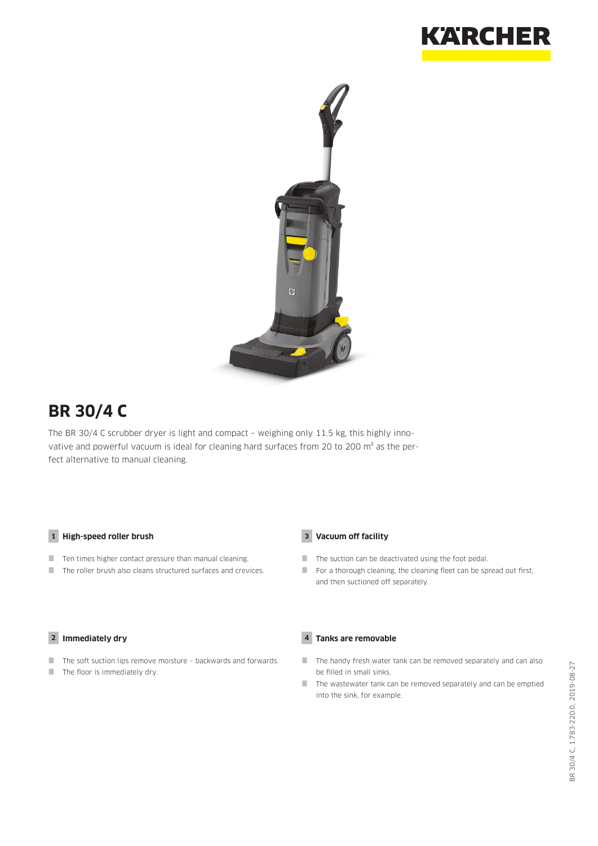



# **BR 30/4 C**

The BR 30/4 C scrubber dryer is light and compact – weighing only 11.5 kg, this highly innovative and powerful vacuum is ideal for cleaning hard surfaces from 20 to 200 m<sup>2</sup> as the perfect alternative to manual cleaning.

#### **1 High-speed roller brush**

- $\blacksquare$  Ten times higher contact pressure than manual cleaning.
- The roller brush also cleans structured surfaces and crevices.

#### **2 Immediately dry**

- $\blacksquare$  The soft suction lips remove moisture backwards and forwards.
- $\blacksquare$  The floor is immediately dry.

#### **3 Vacuum off facility**

- The suction can be deactivated using the foot pedal.
- For a thorough cleaning, the cleaning fleet can be spread out first, and then suctioned off separately.

#### **4 Tanks are removable**

- The handy fresh water tank can be removed separately and can also be filled in small sinks.
- $\blacksquare$  The wastewater tank can be removed separately and can be emptied into the sink, for example.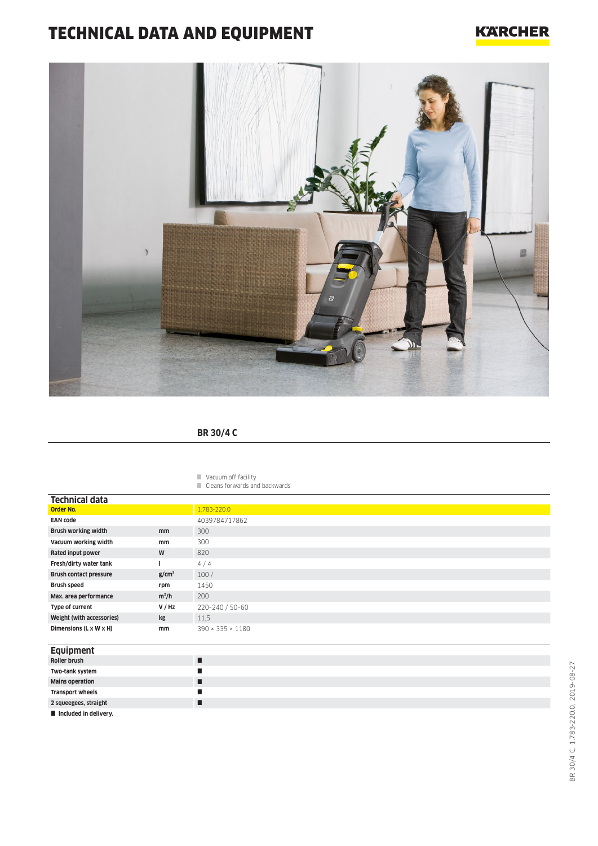# TECHNICAL DATA AND EQUIPMENT

### **KARCHER**



### **BR 30/4 C**

Vacuum off facility

Cleans forwards and backwards

| <b>Technical data</b>          |                   |                              |
|--------------------------------|-------------------|------------------------------|
| <b>Order No.</b>               |                   | 1.783-220.0                  |
| <b>EAN code</b>                |                   | 4039784717862                |
| Brush working width            | mm                | 300                          |
| Vacuum working width           | mm                | 300                          |
| Rated input power              | W                 | 820                          |
| Fresh/dirty water tank         |                   | 4/4                          |
| <b>Brush contact pressure</b>  | g/cm <sup>2</sup> | 100/                         |
| <b>Brush speed</b>             | rpm               | 1450                         |
| Max. area performance          | $m^2/h$           | 200                          |
| Type of current                | V/HZ              | 220-240 / 50-60              |
| Weight (with accessories)      | kg                | 11.5                         |
| Dimensions (L x W x H)         | mm                | $390 \times 335 \times 1180$ |
| <b>Executive and a section</b> |                   |                              |

| Equipment               |   |
|-------------------------|---|
| Roller brush            |   |
| Two-tank system         |   |
| <b>Mains operation</b>  | L |
| <b>Transport wheels</b> |   |
| 2 squeegees, straight   |   |
| Included in delivery.   |   |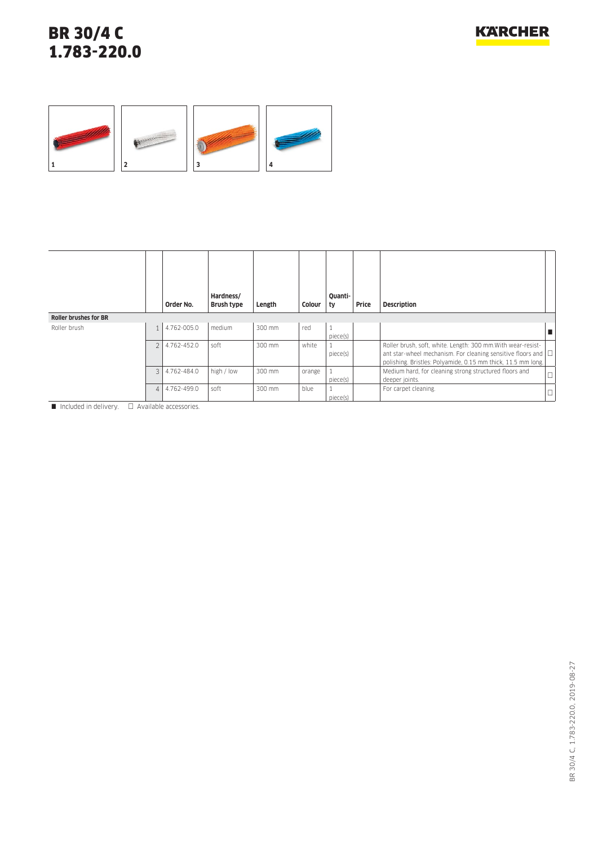

|                              |                | Order No.   | Hardness/<br>Brush type | Length | Colour | Ouanti-<br>ty | Price | <b>Description</b>                                                                                                                                                                                 |  |
|------------------------------|----------------|-------------|-------------------------|--------|--------|---------------|-------|----------------------------------------------------------------------------------------------------------------------------------------------------------------------------------------------------|--|
| <b>Roller brushes for BR</b> |                |             |                         |        |        |               |       |                                                                                                                                                                                                    |  |
| Roller brush                 | $\mathbf{1}$   | 4.762-005.0 | medium                  | 300 mm | red    | piece(s)      |       |                                                                                                                                                                                                    |  |
|                              | $\overline{2}$ | 4.762-452.0 | soft                    | 300 mm | white  | piece(s)      |       | Roller brush, soft, white. Length: 300 mm. With wear-resist-<br>ant star-wheel mechanism. For cleaning sensitive floors and $\Box$<br>polishing. Bristles: Polyamide, 0.15 mm thick, 11.5 mm long. |  |
|                              | $\mathcal{E}$  | 4.762-484.0 | high / low              | 300 mm | orange | piece(s)      |       | Medium hard, for cleaning strong structured floors and<br>deeper joints.                                                                                                                           |  |
|                              | $\overline{4}$ | 4.762-499.0 | soft                    | 300 mm | blue   | piece(s)      |       | For carpet cleaning.                                                                                                                                                                               |  |

 $\Box$  Included in delivery.  $\Box$  Available accessories.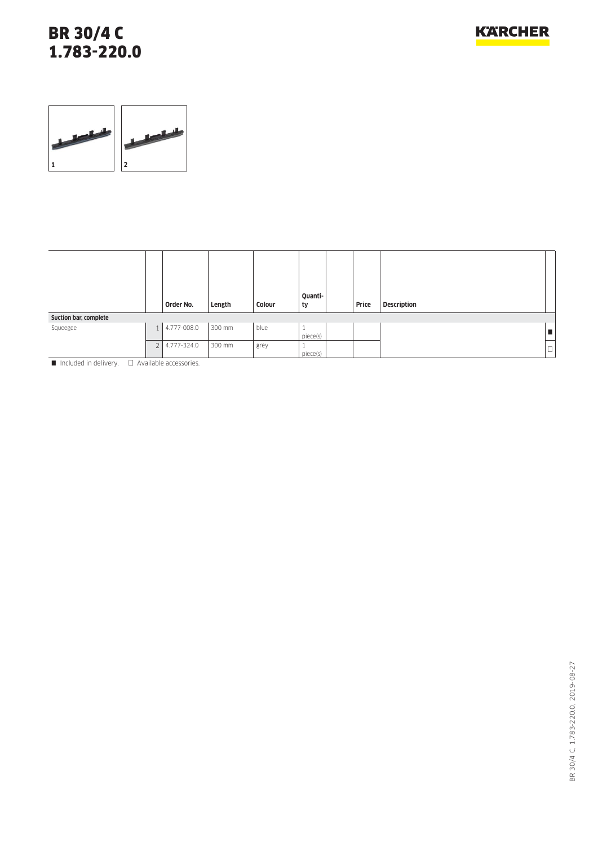## BR 30/4 C 1.783-220.0



|                       |                | Order No.   | Length | Colour | Quanti-<br>ty  | Price | <b>Description</b> |             |
|-----------------------|----------------|-------------|--------|--------|----------------|-------|--------------------|-------------|
| Suction bar, complete |                |             |        |        |                |       |                    |             |
| Squeegee              |                | 4.777-008.0 | 300 mm | blue   | piece(s)       |       |                    |             |
|                       | 2 <sup>1</sup> | 4.777-324.0 | 300 mm | grey   | л.<br>piece(s) |       |                    | $\Box$<br>⊔ |

 $\blacksquare$  Included in delivery.  $\square$  Available accessories.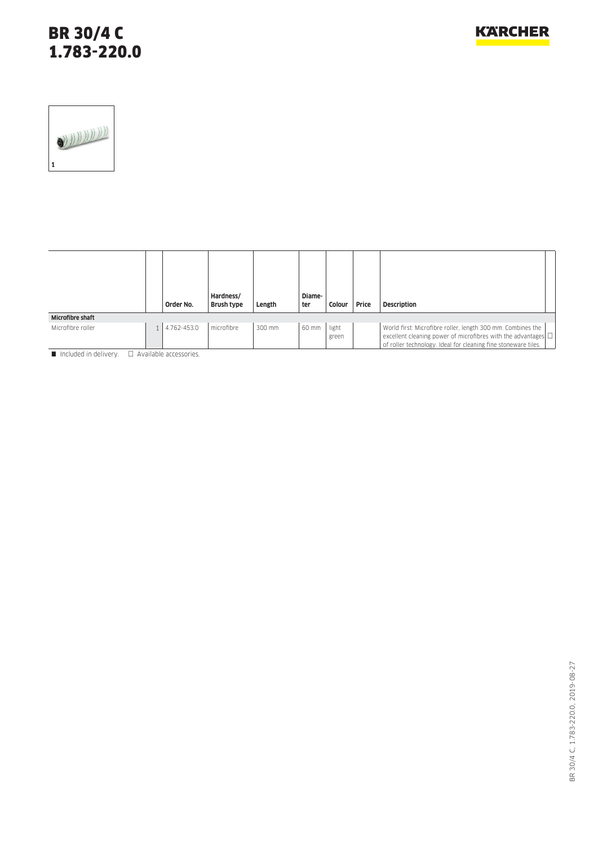## BR 30/4 C 1.783-220.0



|                         | Order No.   | Hardness/<br>Brush type | Length | Diame-<br>ter | Colour         | Price | <b>Description</b>                                                                                                                                                                                  |
|-------------------------|-------------|-------------------------|--------|---------------|----------------|-------|-----------------------------------------------------------------------------------------------------------------------------------------------------------------------------------------------------|
| <b>Microfibre shaft</b> |             |                         |        |               |                |       |                                                                                                                                                                                                     |
| Microfibre roller       | 4.762-453.0 | microfibre              | 300 mm | 60 mm         | light<br>green |       | World first: Microfibre roller, length 300 mm. Combines the<br>excellent cleaning power of microfibres with the advantages $\Box$<br>of roller technology. Ideal for cleaning fine stoneware tiles. |

Included in delivery.  $\Box$  Available accessories.